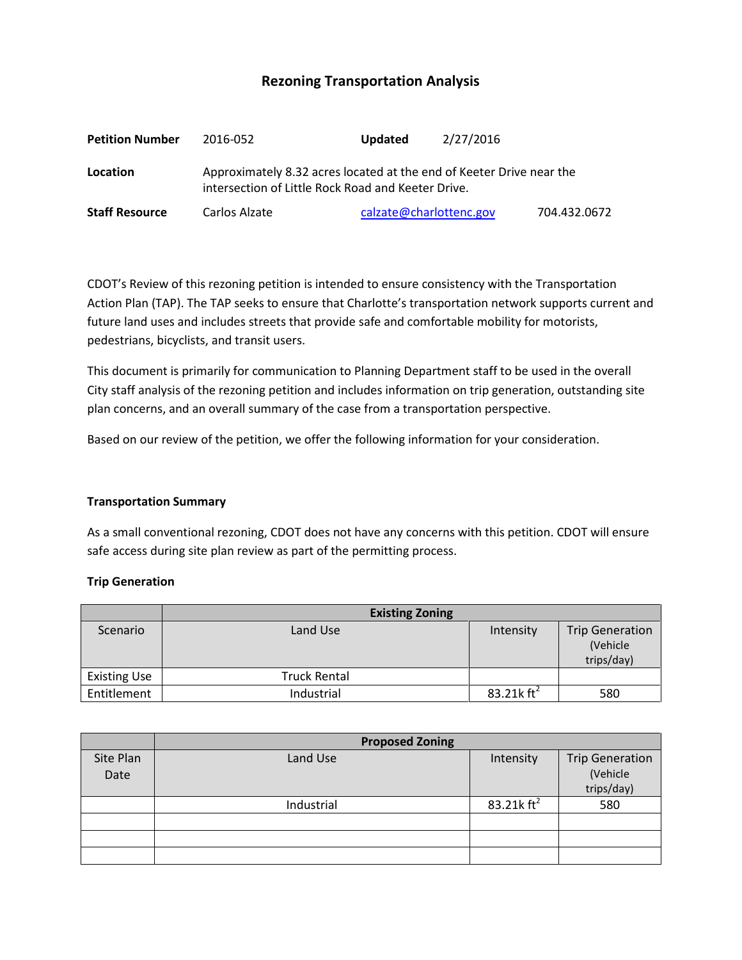# **Rezoning Transportation Analysis**

| <b>Petition Number</b> | 2016-052                                                                                                                   | <b>Updated</b>          | 2/27/2016 |              |  |
|------------------------|----------------------------------------------------------------------------------------------------------------------------|-------------------------|-----------|--------------|--|
| Location               | Approximately 8.32 acres located at the end of Keeter Drive near the<br>intersection of Little Rock Road and Keeter Drive. |                         |           |              |  |
| <b>Staff Resource</b>  | Carlos Alzate                                                                                                              | calzate@charlottenc.gov |           | 704.432.0672 |  |

CDOT's Review of this rezoning petition is intended to ensure consistency with the Transportation Action Plan (TAP). The TAP seeks to ensure that Charlotte's transportation network supports current and future land uses and includes streets that provide safe and comfortable mobility for motorists, pedestrians, bicyclists, and transit users.

This document is primarily for communication to Planning Department staff to be used in the overall City staff analysis of the rezoning petition and includes information on trip generation, outstanding site plan concerns, and an overall summary of the case from a transportation perspective.

Based on our review of the petition, we offer the following information for your consideration.

### **Transportation Summary**

As a small conventional rezoning, CDOT does not have any concerns with this petition. CDOT will ensure safe access during site plan review as part of the permitting process.

### **Trip Generation**

|                     | <b>Existing Zoning</b> |               |                                                   |
|---------------------|------------------------|---------------|---------------------------------------------------|
| Scenario            | Land Use               | Intensity     | <b>Trip Generation</b><br>(Vehicle)<br>trips/day) |
| <b>Existing Use</b> | <b>Truck Rental</b>    |               |                                                   |
| Entitlement         | Industrial             | 83.21k $ft^2$ | 580                                               |

|                   | <b>Proposed Zoning</b> |                        |                                                  |
|-------------------|------------------------|------------------------|--------------------------------------------------|
| Site Plan<br>Date | Land Use               | Intensity              | <b>Trip Generation</b><br>(Vehicle<br>trips/day) |
|                   | Industrial             | 83.21 $k \text{ ft}^2$ | 580                                              |
|                   |                        |                        |                                                  |
|                   |                        |                        |                                                  |
|                   |                        |                        |                                                  |